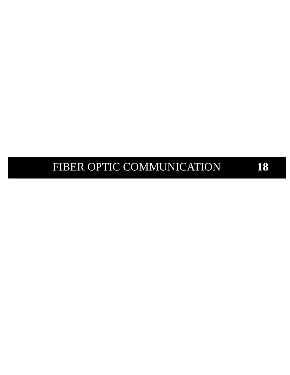# **18** F FIBER OPTIC COMMUNICATION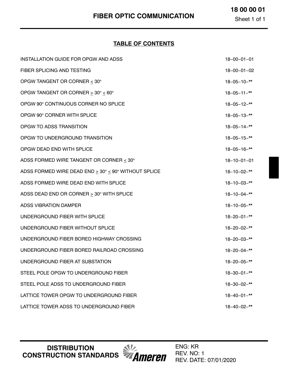Sheet 1 of 1

### **TABLE OF CONTENTS**

| INSTALLATION GUIDE FOR OPGW AND ADSS                 | $18 - 00 - 01 - 01$ |
|------------------------------------------------------|---------------------|
| FIBER SPLICING AND TESTING                           | $18 - 00 - 01 - 02$ |
| OPGW TANGENT OR CORNER < 30°                         | $18 - 05 - 10 -$ ** |
| OPGW TANGENT OR CORNER > 30° < 60°                   | $18 - 05 - 11 -$ ** |
| OPGW 90° CONTINUOUS CORNER NO SPLICE                 | $18 - 05 - 12 -$ ** |
| OPGW 90° CORNER WITH SPLICE                          | $18 - 05 - 13 -$ ** |
| OPGW TO ADSS TRANSITION                              | $18 - 05 - 14 -$ ** |
| OPGW TO UNDERGROUND TRANSITION                       | $18 - 05 - 15 -$ ** |
| OPGW DEAD END WITH SPLICE                            | $18 - 05 - 16 -$ ** |
| ADSS FORMED WIRE TANGENT OR CORNER < 30°             | $18 - 10 - 01 - 01$ |
| ADSS FORMED WIRE DEAD END > 30° < 90° WITHOUT SPLICE | $18 - 10 - 02 -$ ** |
| ADSS FORMED WIRE DEAD END WITH SPLICE                | $18 - 10 - 03 -$ ** |
| ADSS DEAD END OR CORNER $\geq$ 30° WITH SPLICE       | $18 - 10 - 04 -$ ** |
| <b>ADSS VIBRATION DAMPER</b>                         | $18 - 10 - 05 -$ ** |
| UNDERGROUND FIBER WITH SPLICE                        | $18 - 20 - 01 -$ ** |
| UNDERGROUND FIBER WITHOUT SPLICE                     | $18 - 20 - 02 -$ ** |
| UNDERGROUND FIBER BORED HIGHWAY CROSSING             | $18 - 20 - 03 -$ ** |
| UNDERGROUND FIBER BORED RAILROAD CROSSING            | $18 - 20 - 04 -$ ** |
| UNDERGROUND FIBER AT SUBSTATION                      | $18 - 20 - 05 -$ ** |
| STEEL POLE OPGW TO UNDERGROUND FIBER                 | $18 - 30 - 01 -$ ** |
| STEEL POLE ADSS TO UNDERGROUND FIBER                 | $18 - 30 - 02 -$ ** |
| LATTICE TOWER OPGW TO UNDERGROUND FIBER              | $18 - 40 - 01 -$ ** |
| LATTICE TOWER ADSS TO UNDERGROUND FIBER              | $18 - 40 - 02 -$ ** |

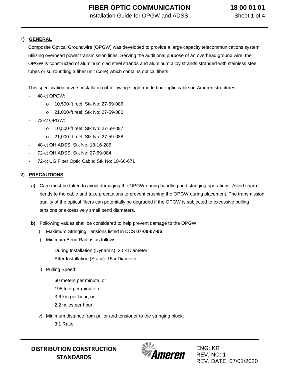## **1) GENERAL**

Composite Optical Groundwire (OPGW) was developed to provide a large capacity telecommunications system utilizing overhead power transmission lines. Serving the additional purpose of an overhead ground wire, the OPGW is constructed of aluminum clad steel strands and aluminum alloy strands stranded with stainless steel tubes or surrounding a fiber unit (core) which contains optical fibers.

This specification covers installation of following single-mode fiber optic cable on Ameren structures:

- 48-ct OPGW:
	- o 10,500-ft reel: Stk No: 27-59-086
	- o 21,000-ft reel: Stk No: 27-59-080
- 72-ct OPGW:
	- o 10,500-ft reel: Stk No: 27-59-087
	- o 21,000-ft reel: Stk No: 27-59-088
- 48-ct OH ADSS: Stk No: 18-16-285
- 72-ct OH ADSS: Stk No: 27-59-084
- 72-ct UG Fiber Optic Cable: Stk No: 18-66-671

#### **2) PRECAUTIONS**

- **a)** Care must be taken to avoid damaging the OPGW during handling and stringing operations. Avoid sharp bends to the cable and take precautions to prevent crushing the OPGW during placement. The transmission quality of the optical fibers can potentially be degraded if the OPGW is subjected to excessive pulling tensions or excessively small bend diameters.
- **b)** Following values shall be considered to help prevent damage to the OPGW
	- i) Maximum Stringing Tensions listed in DCS **[07-00-07-06](https://ameren.sharepoint.com/:b:/r/sites/DistributionStandards/Construction%20Standards/Standards%20Only/07%20Primary%20Conductor/07%2000%2007%2006.pdf?csf=1&web=1&e=TeGrYd)**
	- ii) Minimum Bend Radius as follows:

During Installation (Dynamic): 20 x Diameter After Installation (Static): 15 x Diameter

iii) Pulling Speed:

60 meters per minute, or 195 feet per minute, or 3.6 km per hour, or 2.2 miles per hour.

iv) Minimum distance from puller and tensioner to the stringing block:

3:1 Ratio

**DISTRIBUTION CONSTRUCTION STANDARDS**

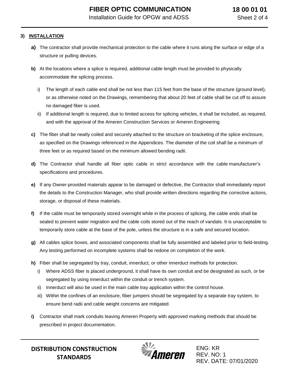#### **3) INSTALLATION**

- **a)** The contractor shall provide mechanical protection to the cable where it runs along the surface or edge of a structure or pulling devices.
- **b)** At the locations where a splice is required, additional cable length must be provided to physically accommodate the splicing process.
	- i) The length of each cable end shall be not less than 115 feet from the base of the structure (ground level), or as otherwise noted on the Drawings, remembering that about 20 feet of cable shall be cut off to assure no damaged fiber is used.
	- ii) If additional length is required, due to limited access for splicing vehicles, it shall be included, as required, and with the approval of the Ameren Construction Services or Ameren Engineering.
- **c)** The fiber shall be neatly coiled and securely attached to the structure on bracketing of the splice enclosure, as specified on the Drawings referenced in the Appendices. The diameter of the coil shall be a minimum of three feet or as required based on the minimum allowed bending radii.
- **d)** The Contractor shall handle all fiber optic cable in strict accordance with the cable manufacturer's specifications and procedures.
- **e)** If any Owner-provided materials appear to be damaged or defective, the Contractor shall immediately report the details to the Construction Manager, who shall provide written directions regarding the corrective actions, storage, or disposal of these materials.
- **f)** If the cable must be temporarily stored overnight while in the process of splicing, the cable ends shall be sealed to prevent water migration and the cable coils stored out of the reach of vandals. It is unacceptable to temporarily store cable at the base of the pole, unless the structure is in a safe and secured location.
- **g)** All cables splice boxes, and associated components shall be fully assembled and labeled prior to field-testing. Any testing performed on incomplete systems shall be redone on completion of the work.
- **h)** Fiber shall be segregated by tray, conduit, innerduct, or other innerduct methods for protection.
	- i) Where ADSS fiber is placed underground, it shall have its own conduit and be designated as such, or be segregated by using innerduct within the conduit or trench system.
	- ii) Innerduct will also be used in the main cable tray application within the control house.
	- iii) Within the confines of an enclosure, fiber jumpers should be segregated by a separate tray system, to ensure bend radii and cable weight concerns are mitigated.
- **i)** Contractor shall mark conduits leaving Ameren Property with approved marking methods that should be prescribed in project documentation.

**DISTRIBUTION CONSTRUCTION STANDARDS**

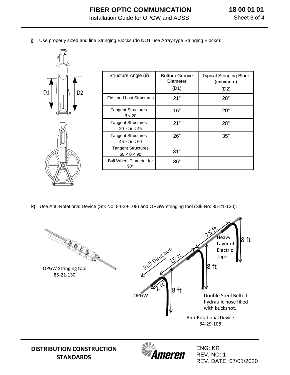**j)** Use properly sized and line Stringing Blocks (do NOT use Array-type Stringing Blocks):



**STANDARDS**

| Structure Angle $(\theta)$                      | <b>Bottom Groove</b><br>Diameter<br>(D1) | <b>Typical Stringing Block</b><br>(minimum)<br>(D2) |
|-------------------------------------------------|------------------------------------------|-----------------------------------------------------|
| <b>First and Last Structures</b>                | 21"                                      | 28"                                                 |
| <b>Tangent Structures</b><br>$\theta$ < 20      | 16"                                      | 20"                                                 |
| <b>Tangent Structures</b><br>$20 < \theta < 45$ | 21"                                      | 28"                                                 |
| <b>Tangent Structures</b><br>$45 < \theta < 60$ | 26"                                      | 35"                                                 |
| <b>Tangent Structures</b><br>$60 < \theta < 90$ | 31"                                      |                                                     |
| <b>Bull Wheel Diameter for</b><br>$90^{\circ}$  | 36"                                      |                                                     |

**k)** Use Anti-Rotational Device (Stk No: 84-29-108) and OPGW stringing tool (Stk No: 85-21-130):



neren

REV. NO: 1 REV. DATE: 07/01/2020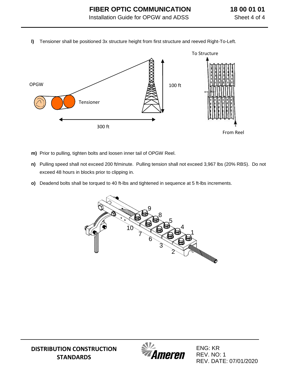**l)** Tensioner shall be positioned 3x structure height from first structure and reeved Right-To-Left.



- **m)** Prior to pulling, tighten bolts and loosen inner tail of OPGW Reel.
- **n)** Pulling speed shall not exceed 200 ft/minute. Pulling tension shall not exceed 3,967 lbs (20% RBS). Do not exceed 48 hours in blocks prior to clipping in.
- **o)** Deadend bolts shall be torqued to 40 ft-lbs and tightened in sequence at 5 ft-lbs increments.



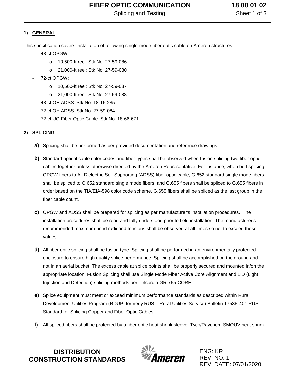# **FIBER OPTIC COMMUNICATION**

Splicing and Testing

**18 00 01 02** Sheet 1 of 3

### **1) GENERAL**

This specification covers installation of following single-mode fiber optic cable on Ameren structures:

- 48-ct OPGW:
	- o 10,500-ft reel: Stk No: 27-59-086
	- o 21,000-ft reel: Stk No: 27-59-080
- 72-ct OPGW:
	- o 10,500-ft reel: Stk No: 27-59-087
	- o 21,000-ft reel: Stk No: 27-59-088
- 48-ct OH ADSS: Stk No: 18-16-285
- 72-ct OH ADSS: Stk No: 27-59-084
- 72-ct UG Fiber Optic Cable: Stk No: 18-66-671

#### **2) SPLICING**

- **a)** Splicing shall be performed as per provided documentation and reference drawings.
- **b)** Standard optical cable color codes and fiber types shall be observed when fusion splicing two fiber optic cables together unless otherwise directed by the Ameren Representative. For instance, when butt splicing OPGW fibers to All Dielectric Self Supporting (ADSS) fiber optic cable, G.652 standard single mode fibers shall be spliced to G.652 standard single mode fibers, and G.655 fibers shall be spliced to G.655 fibers in order based on the TIA/EIA-598 color code scheme. G.655 fibers shall be spliced as the last group in the fiber cable count.
- **c)** OPGW and ADSS shall be prepared for splicing as per manufacturer's installation procedures. The installation procedures shall be read and fully understood prior to field installation. The manufacturer's recommended maximum bend radii and tensions shall be observed at all times so not to exceed these values.
- **d)** All fiber optic splicing shall be fusion type. Splicing shall be performed in an environmentally protected enclosure to ensure high quality splice performance. Splicing shall be accomplished on the ground and not in an aerial bucket. The excess cable at splice points shall be properly secured and mounted in/on the appropriate location. Fusion Splicing shall use Single Mode Fiber Active Core Alignment and LID (Light Injection and Detection) splicing methods per Telcordia GR-765-CORE.
- **e)** Splice equipment must meet or exceed minimum performance standards as described within Rural Development Utilities Program (RDUP, formerly RUS – Rural Utilities Service) Bulletin 1753F-401 RUS Standard for Splicing Copper and Fiber Optic Cables.
- **f)** All spliced fibers shall be protected by a fiber optic heat shrink sleeve. Tyco/Raychem SMOUV heat shrink

**DISTRIBUTION CONSTRUCTION STANDARDS**

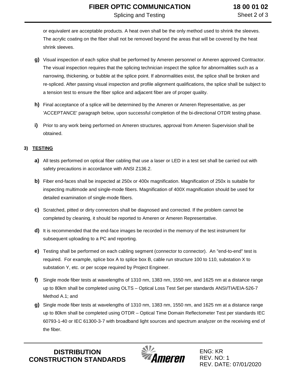or equivalent are acceptable products. A heat oven shall be the only method used to shrink the sleeves. The acrylic coating on the fiber shall not be removed beyond the areas that will be covered by the heat shrink sleeves.

- **g)** Visual inspection of each splice shall be performed by Ameren personnel or Ameren approved Contractor. The visual inspection requires that the splicing technician inspect the splice for abnormalities such as a narrowing, thickening, or bubble at the splice point. If abnormalities exist, the splice shall be broken and re-spliced. After passing visual inspection and profile alignment qualifications, the splice shall be subject to a tension test to ensure the fiber splice and adjacent fiber are of proper quality.
- **h)** Final acceptance of a splice will be determined by the Ameren or Ameren Representative, as per 'ACCEPTANCE' paragraph below, upon successful completion of the bi-directional OTDR testing phase.
- **i)** Prior to any work being performed on Ameren structures, approval from Ameren Supervision shall be obtained.

#### **3) TESTING**

- **a)** All tests performed on optical fiber cabling that use a laser or LED in a test set shall be carried out with safety precautions in accordance with ANSI Z136.2.
- **b)** Fiber end-faces shall be inspected at 250x or 400x magnification. Magnification of 250x is suitable for inspecting multimode and single-mode fibers. Magnification of 400X magnification should be used for detailed examination of single-mode fibers.
- **c)** Scratched, pitted or dirty connectors shall be diagnosed and corrected. If the problem cannot be completed by cleaning, it should be reported to Ameren or Ameren Representative.
- **d)** It is recommended that the end-face images be recorded in the memory of the test instrument for subsequent uploading to a PC and reporting.
- **e)** Testing shall be performed on each cabling segment (connector to connector). An "end-to-end" test is required. For example, splice box A to splice box B, cable run structure 100 to 110, substation X to substation Y, etc. or per scope required by Project Engineer.
- **f)** Single mode fiber tests at wavelengths of 1310 nm, 1383 nm, 1550 nm, and 1625 nm at a distance range up to 80km shall be completed using OLTS – Optical Loss Test Set per standards ANSI/TIA/EIA-526-7 Method A.1; and
- **g)** Single mode fiber tests at wavelengths of 1310 nm, 1383 nm, 1550 nm, and 1625 nm at a distance range up to 80km shall be completed using OTDR – Optical Time Domain Reflectometer Test per standards IEC 60793-1-40 or IEC 61300-3-7 with broadband light sources and spectrum analyzer on the receiving end of the fiber.

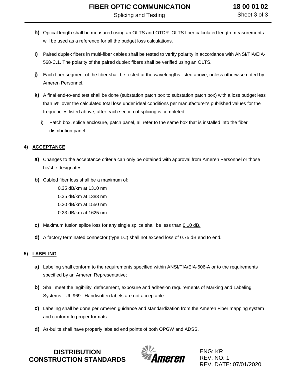- **h)** Optical length shall be measured using an OLTS and OTDR. OLTS fiber calculated length measurements will be used as a reference for all the budget loss calculations.
- **i)** Paired duplex fibers in multi-fiber cables shall be tested to verify polarity in accordance with ANSI/TIA/EIA-568-C.1. The polarity of the paired duplex fibers shall be verified using an OLTS.
- **j)** Each fiber segment of the fiber shall be tested at the wavelengths listed above, unless otherwise noted by Ameren Personnel.
- **k)** A final end-to-end test shall be done (substation patch box to substation patch box) with a loss budget less than 5% over the calculated total loss under ideal conditions per manufacturer's published values for the frequencies listed above, after each section of splicing is completed.
	- i) Patch box, splice enclosure, patch panel, all refer to the same box that is installed into the fiber distribution panel.

#### **4) ACCEPTANCE**

- **a)** Changes to the acceptance criteria can only be obtained with approval from Ameren Personnel or those he/she designates.
- **b)** Cabled fiber loss shall be a maximum of:

0.35 dB/km at 1310 nm 0.35 dB/km at 1383 nm 0.20 dB/km at 1550 nm 0.23 dB/km at 1625 nm

- **c)** Maximum fusion splice loss for any single splice shall be less than 0.10 dB.
- **d)** A factory terminated connector (type LC) shall not exceed loss of 0.75 dB end to end.

#### **5) LABELING**

- **a)** Labeling shall conform to the requirements specified within ANSI/TIA/EIA-606-A or to the requirements specified by an Ameren Representative;
- **b)** Shall meet the legibility, defacement, exposure and adhesion requirements of Marking and Labeling Systems - UL 969. Handwritten labels are not acceptable.
- **c)** Labeling shall be done per Ameren guidance and standardization from the Ameren Fiber mapping system and conform to proper formats.
- **d)** As-builts shall have properly labeled end points of both OPGW and ADSS.

**DISTRIBUTION CONSTRUCTION STANDARDS**

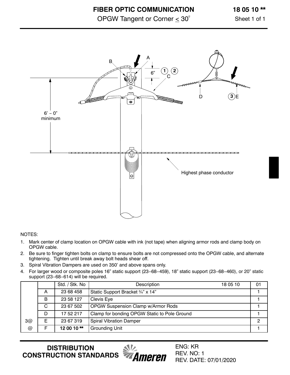OPGW Tangent or Corner  $\leq 30^\circ$ 

Sheet 1 of 1



#### NOTES:

- 1. Mark center of clamp location on OPGW cable with ink (not tape) when aligning armor rods and clamp body on OPGW cable.
- 2. Be sure to finger tighten bolts on clamp to ensure bolts are not compressed onto the OPGW cable, and alternate tightening. Tighten until break away bolt heads shear off.
- 3. Spiral Vibration Dampers are used on 350' and above spans only.
- 4. For larger wood or composite poles 16" static support (23−68−459), 18" static support (23−68−460), or 20" static support (23−68−614) will be required.

|    |    | Std. / Stk. No | Description                                  | 18 05 10 | 01 |
|----|----|----------------|----------------------------------------------|----------|----|
|    | A  | 23 68 458      | Static Support Bracket 3/4" x 14"            |          |    |
|    | B  | 23 58 127      | Clevis Eye                                   |          |    |
|    | C  | 23 67 502      | OPGW Suspension Clamp w/Armor Rods           |          |    |
|    | D  | 17 52 217      | Clamp for bonding OPGW Static to Pole Ground |          |    |
| 3@ | F. | 23 67 319      | <b>Spiral Vibration Damper</b>               |          |    |
| @  |    | 12 00 10**     | Grounding Unit                               |          |    |

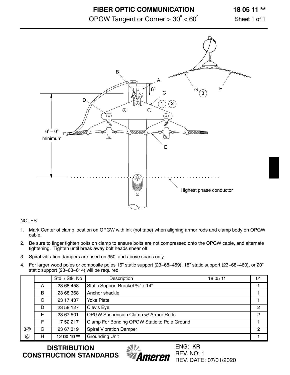### **FIBER OPTIC COMMUNICATION**

OPGW Tangent or Corner  $\geq 30^{\circ} \leq 60^{\circ}$ 

### **18 05 11 \*\***

Sheet 1 of 1



#### NOTES:

- 1. Mark Center of clamp location on OPGW with ink (not tape) when aligning armor rods and clamp body on OPGW cable.
- 2. Be sure to finger tighten bolts on clamp to ensure bolts are not compressed onto the OPGW cable, and alternate tightening. Tighten until break away bolt heads shear off.
- 3. Spiral vibration dampers are used on 350' and above spans only.
- 4. For larger wood poles or composite poles 16" static support (23−68−459), 18" static support (23−68−460), or 20" static support (23−68−614) will be required.

|                      |   | Std. / Stk. No | Description                                  | 18 05 11 | 01 |
|----------------------|---|----------------|----------------------------------------------|----------|----|
|                      | A | 23 68 458      | Static Support Bracket 3/4" x 14"            |          |    |
|                      | B | 23 68 368      | Anchor shackle                               |          |    |
|                      | C | 23 17 437      | Yoke Plate                                   |          |    |
|                      | D | 23 58 127      | Clevis Eye                                   |          | 2  |
|                      | E | 23 67 501      | OPGW Suspension Clamp w/ Armor Rods          |          | 2  |
|                      | F | 17 52 217      | Clamp For Bonding OPGW Static to Pole Ground |          |    |
| 3@                   | G | 23 67 319      | <b>Spiral Vibration Damper</b>               |          | 2  |
| $^{\textregistered}$ | н | 12 00 10**     | Grounding Unit                               |          |    |

**DISTRIBUTION CONSTRUCTION STANDARDS**

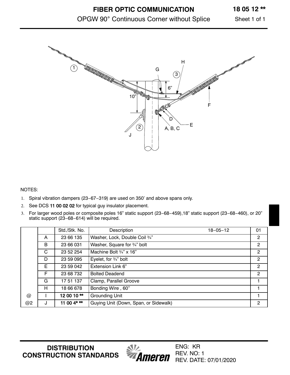### **18 05 12 \*\***

### OPGW 90° Continuous Corner without Splice

Sheet 1 of 1



#### NOTES:

- 1. Spiral vibration dampers (23−67−319) are used on 350' and above spans only.
- 2. See DCS [11 00 02 02](https://ameren.sharepoint.com/:b:/r/sites/DistributionStandards/Construction%20Standards/Standards%20Only/11%20Guying/11%2000%2002%2002.pdf?csf=1&web=1&e=nOzfCK) for typical guy insulator placement.
- 3. For larger wood poles or composite poles 16" static support (23−68−459),18" static support (23−68−460), or 20" static support (23−68−614) will be required.

|                      |   | Std./Stk. No. | $18 - 05 - 12$<br>Description         | 01             |
|----------------------|---|---------------|---------------------------------------|----------------|
|                      | A | 23 66 135     | Washer, Lock, Double Coil 3/4"        | $\overline{2}$ |
|                      | B | 23 66 031     | Washer, Square for 3/4" bolt          | $\overline{2}$ |
|                      | C | 23 52 254     | Machine Bolt 3/4" x 16"               | 2              |
|                      | D | 23 59 095     | Eyelet, for 3/4" bolt                 | $\overline{2}$ |
|                      | E | 23 59 042     | Extension Link 6"                     | $\overline{2}$ |
|                      | F | 23 68 732     | <b>Bolted Deadend</b>                 | $\overline{2}$ |
|                      | G | 17 51 137     | Clamp, Parallel Groove                |                |
|                      | H | 18 66 678     | Bonding Wire, 60"                     |                |
| $^{\textregistered}$ |   | 12 00 10**    | Grounding Unit                        |                |
| @2                   | J | 11 00 4* **   | Guying Unit (Down, Span, or Sidewalk) | $\overline{2}$ |

Ameren

ENG: KR REV. NO: 1

REV. DATE: 07/01/2020

**DISTRIBUTION CONSTRUCTION STANDARDS**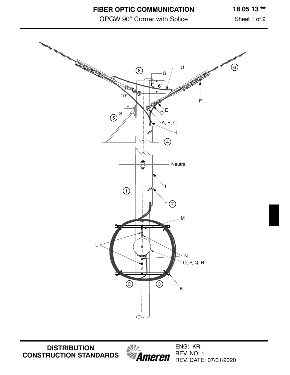**FIBER OPTIC COMMUNICATION**

OPGW 90° Corner with Splice

Sheet 1 of 2



**DISTRIBUTION CONSTRUCTION STANDARDS**

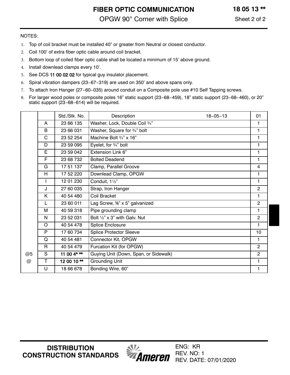**FIBER OPTIC COMMUNICATION** OPGW 90° Corner with Splice

#### NOTES:

- 1. Top of coil bracket must be installed 40" or greater from Neutral or closest conductor.
- 2. Coil 100' of extra fiber optic cable around coil bracket.
- 3. Bottom loop of coiled fiber optic cable shall be located a minimum of 15' above ground.
- 4. Install downlead clamps every 10'.
- 5. See DCS [11 00 02 02 f](https://ameren.sharepoint.com/:b:/r/sites/DistributionStandards/Construction%20Standards/Standards%20Only/11%20Guying/11%2000%2002%2002.pdf?csf=1&web=1&e=fEBTg4)or typical guy insulator placement.
- 6. Spiral vibration dampers (23−67−319) are used on 350' and above spans only.
- 7. To attach Iron Hanger (27−60−035) around conduit on a Composite pole use #10 Self Tapping screws.
- 8. For larger wood poles or composite poles 16" static support (23−68−459), 18" static support (23−68−460), or 20" static support (23−68−614) will be required.

|    |              | Std./Stk. No. | Description<br>$18 - 05 - 13$         | 01             |
|----|--------------|---------------|---------------------------------------|----------------|
|    | A            | 23 66 135     | Washer, Lock, Double Coil 3/4"        | 1              |
|    | B            | 23 66 031     | Washer, Square for 3/4" bolt          | 1              |
|    | C            | 23 52 254     | Machine Bolt 3/4" x 16"               | 1              |
|    | D            | 23 59 095     | Eyelet, for 3/4" bolt                 | 1              |
|    | E            | 23 59 042     | Extension Link 6"                     | 1              |
|    | F            | 23 68 732     | <b>Bolted Deadend</b>                 | 1              |
|    | G            | 17 51 137     | Clamp, Parallel Groove                | $\overline{4}$ |
|    | H            | 17 52 220     | Downlead Clamp, OPGW                  | 1              |
|    |              | 12 01 230     | Conduit, 11/2"                        | 1              |
|    | J            | 27 60 035     | Strap, Iron Hanger                    | $\overline{2}$ |
|    | Κ            | 40 54 480     | Coil Bracket                          | 1              |
|    | $\mathsf{L}$ | 23 60 011     | Lag Screw, %" x 5" galvanized         | $\overline{2}$ |
|    | м            | 40 59 318     | Pipe grounding clamp                  | 1              |
|    | N            | 23 52 031     | Bolt 1/2" x 3" with Galv. Nut         | $\overline{2}$ |
|    | $\circ$      | 40 54 478     | Splice Enclosure                      | 1              |
|    | $\mathsf{P}$ | 17 60 734     | <b>Splice Protector Sleeve</b>        | 10             |
|    | Q            | 40 54 481     | Connector Kit, OPGW                   | 1.             |
|    | R            | 40 54 479     | Furcation Kit (for OPGW)              | $\overline{2}$ |
| @5 | S            | 11 00 4* **   | Guying Unit (Down, Span, or Sidewalk) | $\overline{2}$ |
| @  | $\mathsf T$  | 12 00 10**    | <b>Grounding Unit</b>                 | $\mathbf{1}$   |
|    | U            | 18 66 678     | Bonding Wire, 60"                     | 1              |

**DISTRIBUTION CONSTRUCTION STANDARDS**

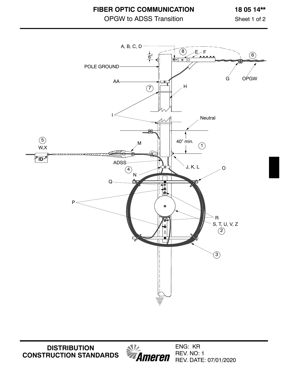**FIBER OPTIC COMMUNICATION**

# OPGW to ADSS Transition

Sheet 1 of 2



**DISTRIBUTION CONSTRUCTION STANDARDS**

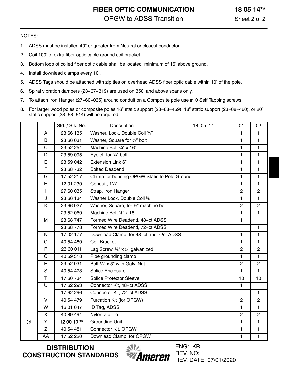### **FIBER OPTIC COMMUNICATION** OPGW to ADSS Transition

#### NOTES:

- 1. ADSS must be installed 40" or greater from Neutral or closest conductor.
- 2. Coil 100' of extra fiber optic cable around coil bracket.
- 3. Bottom loop of coiled fiber optic cable shall be located minimum of 15' above ground.
- 4. Install downlead clamps every 10'.
- 5. ADSS Tags should be attached with zip ties on overhead ADSS fiber optic cable within 10' of the pole.
- 6. Spiral vibration dampers (23−67−319) are used on 350' and above spans only.
- 7. To attach Iron Hanger (27−60−035) around conduit on a Composite pole use #10 Self Tapping screws.
- 8. For larger wood poles or composite poles 16" static support (23−68−459), 18" static support (23−68−460), or 20" static support (23−68−614) will be required.

|   |                | Std. / Stk. No. | Description                                      | 18 05 14 | 01             | 02             |
|---|----------------|-----------------|--------------------------------------------------|----------|----------------|----------------|
|   | A              | 23 66 135       | Washer, Lock, Double Coil 3/4"                   |          | 1              | 1              |
|   | $\mathsf{B}$   | 23 66 031       | Washer, Square for 3/4" bolt                     |          | 1              | $\mathbf{1}$   |
|   | $\mathsf C$    | 23 52 254       | Machine Bolt 3/4" x 16"                          |          | $\blacksquare$ | 1              |
|   | D              | 23 59 095       | Eyelet, for 3/4" bolt                            |          | $\mathbf{1}$   | $\mathbf{1}$   |
|   | E              | 23 59 042       | Extension Link 6"                                |          | 1              | 1              |
|   | F              | 23 68 732       | <b>Bolted Deadend</b>                            |          | $\mathbf{1}$   | 1              |
|   | G              | 17 52 217       | Clamp for bonding OPGW Static to Pole Ground     |          | $\mathbf{1}$   | $\mathbf{1}$   |
|   | H              | 12 01 230       | Conduit, 11/2"                                   |          | $\mathbf{1}$   | $\mathbf{1}$   |
|   | $\mathbf{I}$   | 27 60 035       | Strap, Iron Hanger                               |          | $\overline{2}$ | $\overline{2}$ |
|   | J              | 23 66 134       | Washer Lock, Double Coil %"                      |          | $\mathbf{1}$   | $\mathbf{1}$   |
|   | K              | 23 66 027       | Washer, Square, for <sup>5</sup> %" machine bolt |          | $\overline{2}$ | $\overline{2}$ |
|   | L              | 23 52 069       | Machine Bolt %" x 18"                            |          | 1              | $\mathbf{1}$   |
|   | M              | 23 68 747       | Formed Wire Deadend, 48-ct ADSS                  |          | $\mathbf{1}$   |                |
|   |                | 23 68 778       | Formed Wire Deadend, 72-ct ADSS                  |          |                | $\overline{1}$ |
|   | $\overline{N}$ | 17 02 177       | Downlead Clamp, for 48-ct and 72ct ADSS          |          | $\mathbf{1}$   | $\mathbf{1}$   |
|   | $\circ$        | 40 54 480       | <b>Coil Bracket</b>                              |          | $\mathbf{1}$   | $\mathbf{1}$   |
|   | $\overline{P}$ | 23 60 011       | Lag Screw, <sup>5</sup> %" x 5" galvanized       |          | $\overline{2}$ | $\overline{2}$ |
|   | Q              | 40 59 318       | Pipe grounding clamp                             |          | $\mathbf{1}$   | $\mathbf{1}$   |
|   | $\mathsf{R}$   | 23 52 031       | Bolt 1/2" x 3" with Galv. Nut                    |          | $\overline{2}$ | $\overline{2}$ |
|   | S              | 40 54 478       | Splice Enclosure                                 |          | 1              | $\mathbf{1}$   |
|   | T              | 17 60 734       | <b>Splice Protector Sleeve</b>                   |          | 10             | 10             |
|   | U              | 17 62 293       | Connector Kit, 48-ct ADSS                        |          | 1              |                |
|   |                | 17 62 296       | Connector Kit, 72-ct ADSS                        |          |                | $\mathbf{1}$   |
|   | V              | 40 54 479       | Furcation Kit (for OPGW)                         |          | $\overline{2}$ | $\overline{2}$ |
|   | W              | 16 01 647       | ID Tag, ADSS                                     |          | $\mathbf{1}$   | $\mathbf{1}$   |
|   | X              | 40 89 494       | Nylon Zip Tie                                    |          | $\overline{2}$ | $\overline{2}$ |
| @ | Y              | 12 00 10**      | <b>Grounding Unit</b>                            |          | $\mathbf{1}$   | 1              |
|   | Z              | 40 54 481       | Connector Kit, OPGW                              |          | 1              | 1              |
|   | AA             | 17 52 220       | Downlead Clamp, for OPGW                         |          | $\mathbf{1}$   | 1              |

**DISTRIBUTION CONSTRUCTION STANDARDS**

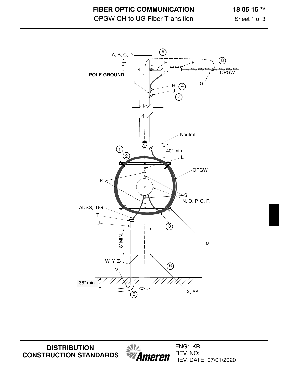OPGW OH to UG Fiber Transition

**18 05 15 \*\***

Sheet 1 of 3



*MA*<br>**Ameren DISTRIBUTION CONSTRUCTION STANDARDS**

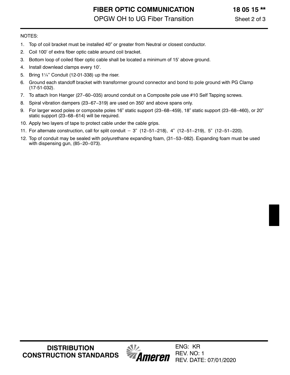**FIBER OPTIC COMMUNICATION** OPGW OH to UG Fiber Transition

- 1. Top of coil bracket must be installed 40" or greater from Neutral or closest conductor.
- 2. Coil 100' of extra fiber optic cable around coil bracket.
- 3. Bottom loop of coiled fiber optic cable shall be located a minimum of 15' above ground.
- 4. Install downlead clamps every 10'.
- 5. Bring 1¼" Conduit (12-01-338) up the riser.
- 6. Ground each standoff bracket with transformer ground connector and bond to pole ground with PG Clamp (17-51-032).
- 7. To attach Iron Hanger (27−60−035) around conduit on a Composite pole use #10 Self Tapping screws.
- 8. Spiral vibration dampers (23−67−319) are used on 350' and above spans only.
- 9. For larger wood poles or composite poles 16" static support (23−68−459), 18" static support (23−68−460), or 20" static support (23−68−614) will be required. 11. For larger wood poles or composite poles 16" static support (23–68–459), 18" static support (23–68–46<br>
11. Apply two layers of tape to protect cable under the cable grips.<br>
11. For alternate construction, call for spl
- 10. Apply two layers of tape to protect cable under the cable grips.
- 
- 12. Top of conduit may be sealed with polyurethane expanding foam, (31−53−082). Expanding foam must be used with dispensing gun, (85−20−073).

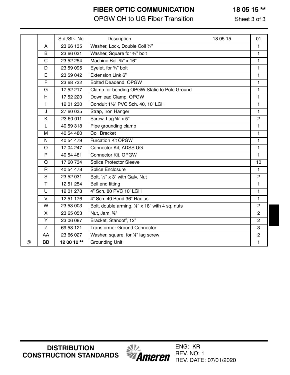# **FIBER OPTIC COMMUNICATION**

# OPGW OH to UG Fiber Transition

Sheet 3 of 3

**18 05 15 \*\***

|          |              | Std./Stk. No. | Description<br>18 05 15                       | 01             |
|----------|--------------|---------------|-----------------------------------------------|----------------|
|          | A            | 23 66 135     | Washer, Lock, Double Coil 3/4"                | 1              |
|          | B            | 23 66 031     | Washer, Square for 3/4" bolt                  | $\mathbf{1}$   |
|          | C            | 23 52 254     | Machine Bolt 3/4" x 16"                       | $\mathbf{1}$   |
|          | D            | 23 59 095     | Eyelet, for 3/4" bolt                         | $\mathbf{1}$   |
|          | E            | 23 59 042     | Extension Link 6"                             | $\mathbf{1}$   |
|          | F            | 23 68 732     | Bolted Deadend, OPGW                          | $\mathbf{1}$   |
|          | G            | 17 52 217     | Clamp for bonding OPGW Static to Pole Ground  | 1              |
|          | H            | 17 52 220     | Downlead Clamp, OPGW                          | $\mathbf{1}$   |
|          | $\mathbf{I}$ | 12 01 230     | Conduit 11/2" PVC Sch. 40, 10' LGH            | $\mathbf{1}$   |
|          | J            | 27 60 035     | Strap, Iron Hanger                            | $\mathbf{1}$   |
|          | K            | 23 60 011     | Screw, Lag %" x 5"                            | $\mathbf{2}$   |
|          | L            | 40 59 318     | Pipe grounding clamp                          | $\mathbf{1}$   |
|          | M            | 40 54 480     | Coil Bracket                                  | $\mathbf{1}$   |
|          | N            | 40 54 479     | <b>Furcation Kit OPGW</b>                     | $\mathbf{1}$   |
|          | O            | 17 04 247     | Connector Kit, ADSS UG                        | $\mathbf{1}$   |
|          | P            | 40 54 481     | Connector Kit, OPGW                           | $\mathbf{1}$   |
|          | Q            | 17 60 734     | <b>Splice Protector Sleeve</b>                | 10             |
|          | $\mathsf R$  | 40 54 478     | Splice Enclosure                              | $\mathbf{1}$   |
|          | S            | 23 52 031     | Bolt, 1/2" x 3" with Galv. Nut                | $\overline{2}$ |
|          | T.           | 12 51 254     | Bell end fitting                              | $\mathbf{1}$   |
|          | U            | 12 01 278     | 4" Sch. 80 PVC 10' LGH                        | $\mathbf{1}$   |
|          | V            | 12 51 176     | 4" Sch. 40 Bend 36" Radius                    | $\mathbf{1}$   |
|          | W            | 23 53 003     | Bolt, double arming, %" x 18" with 4 sq. nuts | $\mathbf{2}$   |
|          | X            | 23 65 053     | Nut, Jam, %"                                  | $\overline{2}$ |
|          | Y            | 23 06 087     | Bracket, Standoff, 12"                        | $\overline{2}$ |
|          | Z            | 69 58 121     | <b>Transformer Ground Connector</b>           | 3              |
|          | AA           | 23 66 027     | Washer, square, for <sup>5</sup> %" lag screw | $\mathbf{2}$   |
| $\omega$ | <b>BB</b>    | 12 00 10**    | <b>Grounding Unit</b>                         | $\mathbf{1}$   |
|          |              |               |                                               |                |

**DISTRIBUTION CONSTRUCTION STANDARDS**

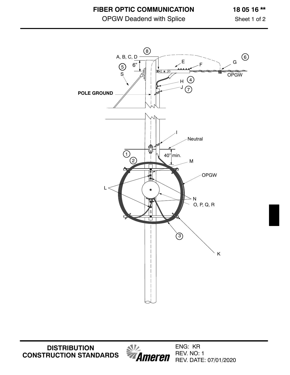**FIBER OPTIC COMMUNICATION**

OPGW Deadend with Splice

**18 05 16 \*\***

Sheet 1 of 2



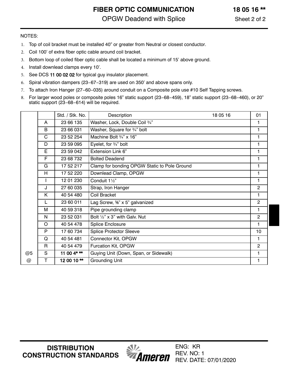**FIBER OPTIC COMMUNICATION** OPGW Deadend with Splice

**18 05 16 \*\***

#### NOTES:

- 1. Top of coil bracket must be installed 40" or greater from Neutral or closest conductor.
- 2. Coil 100' of extra fiber optic cable around coil bracket.
- 3. Bottom loop of coiled fiber optic cable shall be located a minimum of 15' above ground.
- 4. Install downlead clamps every 10'.
- 5. See DCS [11 00 02 02](https://ameren.sharepoint.com/:b:/r/sites/DistributionStandards/Construction%20Standards/Standards%20Only/11%20Guying/11%2000%2002%2002.pdf?csf=1&web=1&e=mYfEtF) for typical guy insulator placement.
- 6. Spiral vibration dampers (23−67−319) are used on 350' and above spans only.
- 7. To attach Iron Hanger (27−60−035) around conduit on a Composite pole use #10 Self Tapping screws.
- 8. For larger wood poles or composite poles 16" static support (23−68−459), 18" static support (23−68−460), or 20" static support (23−68−614) will be required.

|    |              | Std. / Stk. No. | Description<br>18 05 16                      | 01             |
|----|--------------|-----------------|----------------------------------------------|----------------|
|    | A            | 23 66 135       | Washer, Lock, Double Coil 3/4"               | 1              |
|    | B            | 23 66 031       | Washer, Square for 3/4" bolt                 | 1              |
|    | $\mathbf C$  | 23 52 254       | Machine Bolt 3/4" x 16"                      | 1              |
|    | D            | 23 59 095       | Eyelet, for 3/4" bolt                        | 1              |
|    | E            | 23 59 042       | Extension Link 6"                            | 1              |
|    | F            | 23 68 732       | <b>Bolted Deadend</b>                        | 1              |
|    | G            | 17 52 217       | Clamp for bonding OPGW Static to Pole Ground | $\mathbf{1}$   |
|    | H            | 17 52 220       | Downlead Clamp, OPGW                         | 1              |
|    |              | 12 01 230       | Conduit 11/2"                                | 1              |
|    | J            | 27 60 035       | Strap, Iron Hanger                           | $\overline{2}$ |
|    | K            | 40 54 480       | Coil Bracket                                 | 1              |
|    | L            | 23 60 011       | Lag Screw, <sup>5</sup> %" x 5" galvanized   | $\overline{2}$ |
|    | м            | 40 59 318       | Pipe grounding clamp                         | 1              |
|    | N            | 23 52 031       | Bolt $\frac{1}{2}$ " x 3" with Galv. Nut     | $\overline{2}$ |
|    | O            | 40 54 478       | Splice Enclosure                             | 1              |
|    | P            | 17 60 734       | <b>Splice Protector Sleeve</b>               | 10             |
|    | Q            | 40 54 481       | Connector Kit, OPGW                          | 1              |
|    | $\mathsf{R}$ | 40 54 479       | Furcation Kit, OPGW                          | $\overline{2}$ |
| @5 | S            | 11 00 $4***$    | Guying Unit (Down, Span, or Sidewalk)        | 1              |
| @  | Т            | 12 00 10**      | <b>Grounding Unit</b>                        | 1              |

*MAmeren* 

**DISTRIBUTION CONSTRUCTION STANDARDS**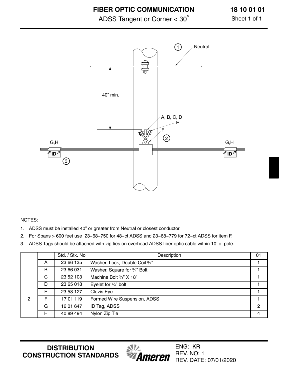ADSS Tangent or Corner < 30º

**18 10 01 01**

Sheet 1 of 1



NOTES:

- 1. ADSS must be installed 40" or greater from Neutral or closest conductor.
- 2. For Spans > 600 feet use 23−68−750 for 48−ct ADSS and 23−68−779 for 72−ct ADSS for item F.
- 3. ADSS Tags should be attached with zip ties on overhead ADSS fiber optic cable within 10' of pole.

|   |   | Std. / Stk. No | Description                    | 01 |
|---|---|----------------|--------------------------------|----|
|   | A | 23 66 135      | Washer, Lock, Double Coil 3/4" |    |
|   | B | 23 66 031      | Washer, Square for 3/4" Bolt   |    |
|   | C | 23 52 103      | Machine Bolt 3/4" X 18"        |    |
|   | D | 23 65 018      | Eyelet for 3/4" bolt           |    |
|   | E | 23 58 127      | Clevis Eye                     |    |
| 2 | F | 17 01 119      | Formed Wire Suspension, ADSS   |    |
|   | G | 16 01 647      | ID Tag, ADSS                   | 2  |
|   | H | 40 89 494      | Nylon Zip Tie                  | 4  |

**DISTRIBUTION CONSTRUCTION STANDARDS**

*<u><i><u><b>MILL</u>*</u><br>*Ameren*</u>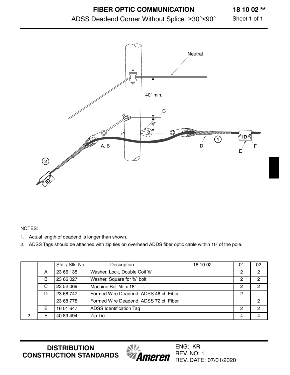# ADSS Deadend Corner Without Splice  $\geq 30^{\circ} \leq 90^{\circ}$

**18 10 02 \*\***

Sheet 1 of 1



#### NOTES:

- 1. Actual length of deadend is longer than shown.
- 2. ADSS Tags should be attached with zip ties on overhead ADDS fiber optic cable within 10' of the pole.

|                |   | Std. / Stk. No. | Description                            | 18 10 02 | 01 | 02 |
|----------------|---|-----------------|----------------------------------------|----------|----|----|
|                | A | 23 66 135       | Washer, Lock, Double Coil %"           |          |    | 2  |
|                | B | 23 66 027       | Washer, Square for %" bolt             |          |    | 2  |
|                | C | 23 52 069       | Machine Bolt %" x 18"                  |          |    | 2  |
|                | D | 23 68 747       | Formed Wire Deadend, ADSS 48 ct. Fiber |          | 2  |    |
|                |   | 23 68 778       | Formed Wire Deadend, ADSS 72 ct. Fiber |          |    | 2  |
|                | F | 16 01 647       | <b>ADSS Identification Tag</b>         |          | 2  | 2  |
| $\overline{2}$ |   | 40 89 494       | Zip Tie                                |          | 4  |    |

**DISTRIBUTION CONSTRUCTION STANDARDS**

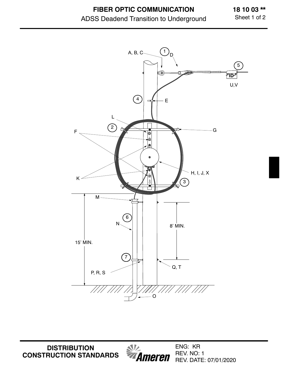**18 10 03 \*\*** Sheet 1 of 2



**DISTRIBUTION CONSTRUCTION STANDARDS**

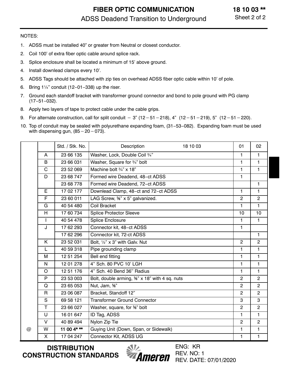- 1. ADSS must be installed 40" or greater from Neutral or closest conductor.
- 2. Coil 100' of extra fiber optic cable around splice rack.
- 3. Splice enclosure shall be located a minimum of 15' above ground.
- 4. Install downlead clamps every 10'.
- 5. ADSS Tags should be attached with zip ties on overhead ADSS fiber optic cable within 10' of pole.
- 6. Bring 1¼" conduit (12−01−338) up the riser.
- 7. Ground each standoff bracket with transformer ground connector and bond to pole ground with PG clamp (17−51−032). 9. Ground each standoff bracket with transformer ground connect (17–51–032).<br>
8. Apply two layers of tape to protect cable under the cable grips.<br>
9. For alternate construction, call for split conduit  $-3$ " (12–51– 218), 4" (12-51-219), 5" (12-51-220).
- 8. Apply two layers of tape to protect cable under the cable grips.
- 
- 10. Top of conduit may be sealed with polyurethane expanding foam, (31−53−082). Expanding foam must be used Apply two layers of tape to prote<br>For alternate construction, call f<br>Top of conduit may be sealed w<br>with dispensing gun, (85 – 20 – with dispensing gun,  $(85 - 20 - 073)$ .

|   |              | Std. / Stk. No. | Description<br>18 10 03                                    | 01             | 02             |
|---|--------------|-----------------|------------------------------------------------------------|----------------|----------------|
|   | A            | 23 66 135       | Washer, Lock, Double Coil 3/4"                             | 1              | 1              |
|   | B            | 23 66 031       | Washer, Square for 3/4" bolt                               | 1              | 1              |
|   | $\mathbf C$  | 23 52 069       | Machine bolt 3/4" x 18"                                    | 1              | 1              |
|   | D            | 23 68 747       | Formed wire Deadend, 48-ct ADSS                            | $\blacksquare$ |                |
|   |              | 23 68 778       | Formed wire Deadend, 72-ct ADSS                            |                | $\mathbf{1}$   |
|   | E.           | 17 02 177       | Downlead Clamp, 48-ct and 72-ct ADSS                       | 1              | $\mathbf{1}$   |
|   | F            | 23 60 011       | LAG Screw, <sup>5</sup> %" x 5" galvanized.                | $\overline{c}$ | $\overline{2}$ |
|   | G            | 40 54 480       | Coil Bracket                                               | 1              | 1              |
|   | H            | 17 60 734       | <b>Splice Protector Sleeve</b>                             | 10             | 10             |
|   | $\mathbf{I}$ | 40 54 478       | Splice Enclosure                                           | $\mathbf{1}$   | $\mathbf{1}$   |
|   | J            | 17 62 293       | Connector kit, 48-ct ADSS                                  | 1              |                |
|   |              | 17 62 296       | Connector kit, 72-ct ADSS                                  |                | 1              |
|   | K            | 23 52 031       | Bolt, 1/2" x 3" with Galv. Nut                             | $\overline{2}$ | $\overline{2}$ |
|   | L            | 40 59 318       | Pipe grounding clamp                                       | 1              | 1              |
|   | M            | 12 51 254       | Bell end fitting                                           | 1              | 1              |
|   | $\mathsf{N}$ | 12 01 278       | 4" Sch. 80 PVC 10' LGH                                     | $\mathbf{1}$   | 1              |
|   | $\circ$      | 12 51 176       | 4" Sch. 40 Bend 36" Radius                                 | 1              | $\mathbf{1}$   |
|   | P            | 23 53 003       | Bolt, double arming, <sup>5</sup> %" x 18" with 4 sq. nuts | $\overline{c}$ | $\overline{c}$ |
|   | Q            | 23 65 053       | Nut, Jam, %"                                               | $\overline{2}$ | $\overline{2}$ |
|   | $\mathsf{R}$ | 23 06 087       | Bracket, Standoff 12"                                      | $\overline{2}$ | $\overline{2}$ |
|   | S            | 69 58 121       | <b>Transformer Ground Connector</b>                        | 3              | 3              |
|   | T.           | 23 66 027       | Washer, square, for %" bolt                                | $\overline{2}$ | $\overline{2}$ |
|   | $\cup$       | 16 01 647       | ID Tag, ADSS                                               | 1              | 1              |
|   | $\vee$       | 40 89 494       | Nylon Zip Tie                                              | $\overline{c}$ | $\overline{2}$ |
| @ | W            | 11 00 $4***$    | Guying Unit (Down, Span, or Sidewalk)                      | 1              | 1              |
|   | $\mathsf{X}$ | 17 04 247       | Connector Kit, ADSS UG                                     | 1              | 1              |

**DISTRIBUTION CONSTRUCTION STANDARDS**

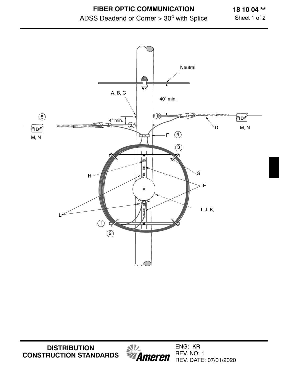

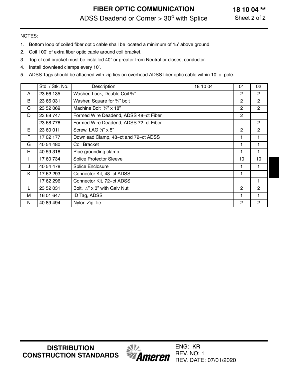- 1. Bottom loop of coiled fiber optic cable shall be located a minimum of 15' above ground.
- 2. Coil 100' of extra fiber optic cable around coil bracket.
- 3. Top of coil bracket must be installed 40" or greater from Neutral or closest conductor.
- 4. Install downlead clamps every 10'.
- 5. ADSS Tags should be attached with zip ties on overhead ADSS fiber optic cable within 10' of pole.

|              | Std. / Stk. No. | Description<br>18 10 04               | 01             | 02             |
|--------------|-----------------|---------------------------------------|----------------|----------------|
| A            | 23 66 135       | Washer, Lock, Double Coil 3/4"        | $\overline{2}$ | $\overline{2}$ |
| B            | 23 66 031       | Washer, Square for 3/4" bolt          | $\overline{2}$ | $\overline{2}$ |
| C            | 23 52 069       | Machine Bolt $\frac{3}{4}$ " x 18"    | $\overline{2}$ | $\overline{2}$ |
| D            | 23 68 747       | Formed Wire Deadend, ADSS 48-ct Fiber | $\overline{2}$ |                |
|              | 23 68 778       | Formed Wire Deadend, ADSS 72-ct Fiber |                | $\overline{2}$ |
| E            | 23 60 011       | Screw, LAG %" x 5"                    | $\overline{2}$ | $\overline{2}$ |
| F            | 17 02 177       | Downlead Clamp, 48-ct and 72-ct ADSS  |                |                |
| G            | 40 54 480       | Coil Bracket                          |                |                |
| H            | 40 59 318       | Pipe grounding clamp                  | $\mathbf{1}$   | 1              |
| $\mathbf{I}$ | 17 60 734       | <b>Splice Protector Sleeve</b>        | 10             | 10             |
| J            | 40 54 478       | Splice Enclosure                      |                |                |
| K            | 17 62 293       | Connector Kit, 48-ct ADSS             |                |                |
|              | 17 62 296       | Connector Kit, 72-ct ADSS             |                |                |
| L            | 23 52 031       | Bolt, 1/2" x 3" with Galv Nut         | $\overline{2}$ | $\overline{2}$ |
| м            | 16 01 647       | ID Tag, ADSS                          | 1              | 1              |
| N            | 40 89 494       | Nylon Zip Tie                         | $\overline{2}$ | $\overline{2}$ |

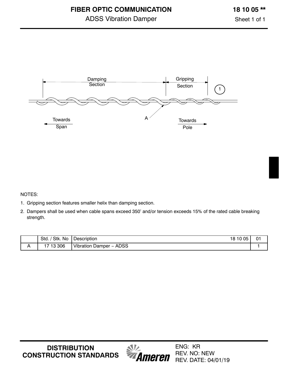Sheet 1 of 1



- 1. Gripping section features smaller helix than damping section.
- 2. Dampers shall be used when cable spans exceed 350' and/or tension exceeds 15% of the rated cable breaking strength.

| 'Stk.<br>No<br>Std. | 18 10 05<br>. .<br>Description                                 | $\mathbf{0}$ |
|---------------------|----------------------------------------------------------------|--------------|
| 13 306<br>1712      | <b>ADSS</b><br>Vibration<br>Damper<br>$\overline{\phantom{0}}$ |              |

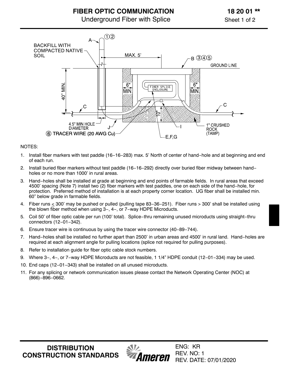



- 1. Install fiber markers with test paddle (16−16−283) max. 5' North of center of hand−hole and at beginning and end of each run.
- 2. Install buried fiber markers without test paddle (16−16−292) directly over buried fiber midway between hand− holes or no more than 1000' in rural areas.
- 3. Hand−holes shall be installed at grade at beginning and end points of farmable fields. In rural areas that exceed 4500' spacing (Note 7) install two (2) fiber markers with test paddles, one on each side of the hand−hole, for protection. Preferred method of installation is at each property corner location. UG fiber shall be installed min. 60" below grade in farmable fields.
- 4. Fiber runs < 300' may be pushed or pulled (pulling tape 83−36−251). Fiber runs > 300' shall be installed using the blown fiber method when using 3−, 4−, or 7−way HDPE Microducts.
- 5. Coil 50' of fiber optic cable per run (100' total). Splice−thru remaining unused microducts using straight−thru connectors (12−01−342).
- 6. Ensure tracer wire is continuous by using the tracer wire connector (40−89−744).
- 7. Hand−holes shall be installed no further apart than 2500' in urban areas and 4500' in rural land. Hand−holes are required at each alignment angle for pulling locations (splice not required for pulling purposes).
- 8. Refer to installation guide for fiber optic cable stock numbers.
- 9. Where 3−, 4−, or 7−way HDPE Microducts are not feasible, 1 1/4" HDPE conduit (12−01−334) may be used.
- 10. End caps (12−01−343) shall be installed on all unused microducts.
- 11. For any splicing or network communication issues please contact the Network Operating Center (NOC) at (866)−896−0662.

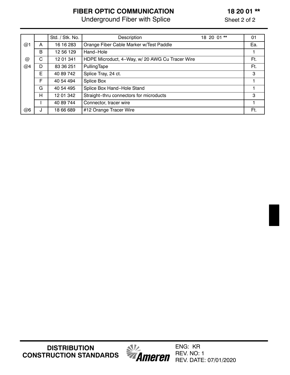# **FIBER OPTIC COMMUNICATION**

Underground Fiber with Splice

| <b>DISTRIBUTION</b>           |
|-------------------------------|
| <b>CONSTRUCTION STANDARDS</b> |



|                      |   |                 | <u>UNG GIUCHIU I IDEI WILII UPIICE</u>          | <b>SHEEL Z UL Z</b> |     |
|----------------------|---|-----------------|-------------------------------------------------|---------------------|-----|
|                      |   | Std. / Stk. No. | Description                                     | 18 20 01 **         | 01  |
|                      |   |                 |                                                 |                     |     |
| @1                   | A | 16 16 283       | Orange Fiber Cable Marker w/Test Paddle         |                     | Ea. |
|                      | B | 12 56 129       | Hand-Hole                                       |                     |     |
| $^{\textregistered}$ | С | 12 01 341       | HDPE Microduct, 4-Way, w/ 20 AWG Cu Tracer Wire |                     | Ft. |
| @4                   | D | 83 36 251       | PullingTape                                     |                     | Ft. |
|                      | E | 40 89 742       | Splice Tray, 24 ct.                             |                     | 3   |
|                      | F | 40 54 494       | Splice Box                                      |                     |     |
|                      | G | 40 54 495       | Splice Box Hand-Hole Stand                      |                     |     |
|                      | н | 12 01 342       | Straight-thru connectors for microducts         |                     | 3   |
|                      |   | 40 89 744       | Connector, tracer wire                          |                     |     |
| @6                   | J | 18 66 689       | #12 Orange Tracer Wire                          |                     | Ft. |

## **18 20 01 \*\***

Sheet 2 of 2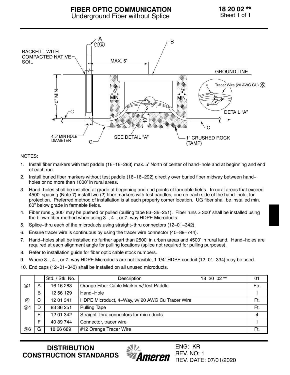

- 1. Install fiber markers with test paddle (16−16−283) max. 5' North of center of hand−hole and at beginning and end of each run.
- 2. Install buried fiber markers without test paddle (16−16−292) directly over buried fiber midway between hand− holes or no more than 1000' in rural areas.
- 3. Hand−holes shall be installed at grade at beginning and end points of farmable fields. In rural areas that exceed 4500' spacing (Note 7) install two (2) fiber markers with test paddles, one on each side of the hand−hole, for protection. Preferred method of installation is at each property corner location. UG fiber shall be installed min. 60" below grade in farmable fields.
- 4. Fiber runs < 300' may be pushed or pulled (pulling tape 83−36−251). Fiber runs > 300' shall be installed using the blown fiber method when using 3−, 4−, or 7−way HDPE Microducts.
- 5. Splice−thru each of the microducts using straight−thru connectors (12−01−342).
- 6. Ensure tracer wire is continuous by using the tracer wire connector (40−89−744).
- 7. Hand−holes shall be installed no further apart than 2500' in urban areas and 4500' in rural land. Hand−holes are required at each alignment angle for pulling locations (splice not required for pulling purposes).
- 8. Refer to installation guide for fiber optic cable stock numbers.
- 9. Where 3−, 4−, or 7-way HDPE Microducts are not feasible, 1 1/4" HDPE conduit (12-01-334) may be used.
- 10. End caps (12−01−343) shall be installed on all unused microducts.

|                 |   | Std. / Stk. No. | Description                                     | 18 20 02 ** | 01  |
|-----------------|---|-----------------|-------------------------------------------------|-------------|-----|
| @1              | A | 16 16 283       | Orange Fiber Cable Marker w/Test Paddle         |             | Ea. |
|                 | B | 12 56 129       | Hand-Hole                                       |             |     |
| $^{\copyright}$ | C | 12 01 341       | HDPE Microduct, 4-Way, w/ 20 AWG Cu Tracer Wire |             | Ft. |
| @4              | D | 83 36 251       | <b>Pulling Tape</b>                             |             | Ft. |
|                 | E | 12 01 342       | Straight-thru connectors for microducts         |             | 4   |
|                 | F | 40 89 744       | Connector, tracer wire                          |             |     |
| @6              | G | 18 66 689       | #12 Orange Tracer Wire                          |             | Ft. |

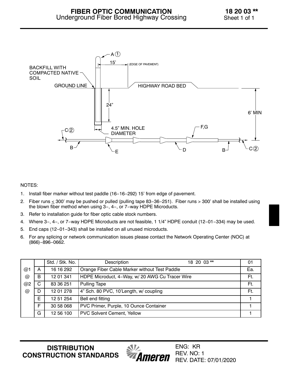

- 1. Install fiber marker without test paddle (16−16−292) 15' from edge of pavement.
- 2. Fiber runs < 300' may be pushed or pulled (pulling tape 83−36−251). Fiber runs > 300' shall be installed using the blown fiber method when using 3−, 4−, or 7−way HDPE Microducts.
- 3. Refer to installation guide for fiber optic cable stock numbers.
- 4. Where 3−, 4−, or 7−way HDPE Microducts are not feasible, 1 1/4" HDPE conduit (12−01−334) may be used.
- 5. End caps (12−01−343) shall be installed on all unused microducts.
- 6. For any splicing or network communication issues please contact the Network Operating Center (NOC) at (866)−896−0662.

|    |    | Std. / Stk. No. | 18 20 03 **<br>Description                      | 01  |
|----|----|-----------------|-------------------------------------------------|-----|
| @1 | А  | 16 16 292       | Orange Fiber Cable Marker without Test Paddle   | Ea. |
| @  | B  | 12 01 341       | HDPE Microduct, 4-Way, w/ 20 AWG Cu Tracer Wire | Ft. |
| @2 | C. | 83 36 251       | <b>Pulling Tape</b>                             | Ft. |
| @  | D  | 12 01 278       | 4" Sch. 80 PVC, 10'Length, w/ coupling          | Ft. |
|    | E  | 12 51 254       | Bell end fitting                                |     |
|    | Е  | 30 58 068       | PVC Primer, Purple, 10 Ounce Container          |     |
|    | G  | 12 56 100       | <b>PVC Solvent Cement, Yellow</b>               |     |

**DISTRIBUTION CONSTRUCTION STANDARDS**

Ameren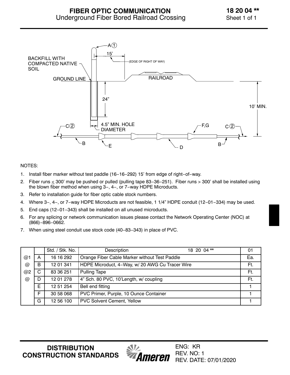

- 1. Install fiber marker without test paddle (16−16−292) 15' from edge of right−of−way.
- 2. Fiber runs ≤ 300' may be pushed or pulled (pulling tape 83–36–251). Fiber runs > 300' shall be installed using the blown fiber method when using 3−, 4−, or 7−way HDPE Microducts.
- 3. Refer to installation guide for fiber optic cable stock numbers.
- 4. Where 3−, 4−, or 7−way HDPE Microducts are not feasible, 1 1/4" HDPE conduit (12−01−334) may be used.
- 5. End caps (12−01−343) shall be installed on all unused microducts.
- 6. For any splicing or network communication issues please contact the Network Operating Center (NOC) at (866)−896−0662.
- 7. When using steel conduit use stock code (40−83−343) in place of PVC.

|    |   | Std. / Stk. No. | Description                                     | 18 20 04** | 01  |
|----|---|-----------------|-------------------------------------------------|------------|-----|
| @1 | A | 16 16 292       | Orange Fiber Cable Marker without Test Paddle   |            | Ea. |
| @  | B | 12 01 341       | HDPE Microduct, 4-Way, w/ 20 AWG Cu Tracer Wire |            | Ft. |
| @2 | C | 83 36 251       | Pulling Tape                                    |            | Ft. |
| @  |   | 12 01 278       | 4" Sch. 80 PVC, 10'Length, w/ coupling          |            | Ft. |
|    | E | 12 51 254       | Bell end fitting                                |            |     |
|    | F | 30 58 068       | PVC Primer, Purple, 10 Ounce Container          |            |     |
|    | G | 12 56 100       | <b>PVC Solvent Cement, Yellow</b>               |            |     |

**DISTRIBUTION CONSTRUCTION STANDARDS**

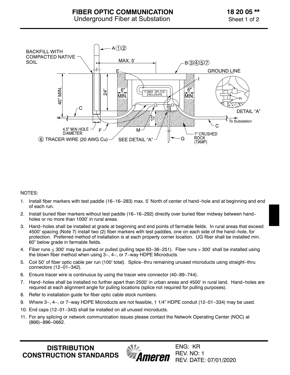

- 1. Install fiber markers with test paddle (16−16−283) max. 5' North of center of hand−hole and at beginning and end of each run.
- 2. Install buried fiber markers without test paddle (16−16−292) directly over buried fiber midway between hand− holes or no more than 1000' in rural areas.
- 3. Hand−holes shall be installed at grade at beginning and end points of farmable fields. In rural areas that exceed 4500' spacing (Note 7) install two (2) fiber markers with test paddles, one on each side of the hand−hole, for protection. Preferred method of installation is at each property corner location. UG fiber shall be installed min. 60" below grade in farmable fields.
- 4. Fiber runs < 300' may be pushed or pulled (pulling tape 83−36−251). Fiber runs > 300' shall be installed using the blown fiber method when using 3−, 4−, or 7−way HDPE Microducts.
- 5. Coil 50' of fiber optic cable per run (100' total). Splice−thru remaining unused microducts using straight−thru connectors (12−01−342).
- 6. Ensure tracer wire is continuous by using the tracer wire connector (40−89−744).
- 7. Hand−holes shall be installed no further apart than 2500' in urban areas and 4500' in rural land. Hand−holes are required at each alignment angle for pulling locations (splice not required for pulling purposes).
- 8. Refer to installation guide for fiber optic cable stock numbers.
- 9. Where 3−, 4−, or 7−way HDPE Microducts are not feasible, 1 1/4" HDPE conduit (12−01−334) may be used.
- 10. End caps (12−01−343) shall be installed on all unused microducts.
- 11. For any splicing or network communication issues please contact the Network Operating Center (NOC) at (866)−896−0662.

**DISTRIBUTION CONSTRUCTION STANDARDS**

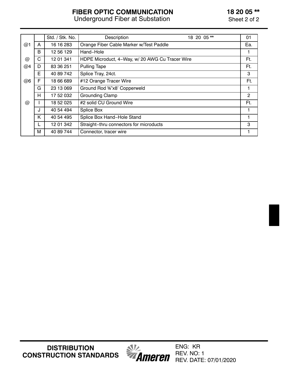# **FIBER OPTIC COMMUNICATION**

Underground Fiber at Substation

**18 20 05 \*\***

Sheet 2 of 2

|                      |   | Std. / Stk. No. | Description                                     | 18 20 05** | 01  |
|----------------------|---|-----------------|-------------------------------------------------|------------|-----|
| @1                   | A | 16 16 283       | Orange Fiber Cable Marker w/Test Paddle         |            | Ea. |
|                      | B | 12 56 129       | Hand-Hole                                       |            |     |
| $^{\textregistered}$ | C | 12 01 341       | HDPE Microduct, 4-Way, w/ 20 AWG Cu Tracer Wire |            | Ft. |
| @4                   | D | 83 36 251       | <b>Pulling Tape</b>                             |            | Ft. |
|                      | E | 40 89 742       | Splice Tray, 24ct.                              |            | 3   |
| @6                   | F | 18 66 689       | #12 Orange Tracer Wire                          |            | Ft. |
|                      | G | 23 13 069       | Ground Rod %"x8' Copperweld                     |            | 1   |
|                      | H | 17 52 032       | <b>Grounding Clamp</b>                          |            | 2   |
| @                    |   | 18 52 025       | #2 solid CU Ground Wire                         |            | Ft. |
|                      | J | 40 54 494       | Splice Box                                      |            |     |
|                      | K | 40 54 495       | Splice Box Hand-Hole Stand                      |            |     |
|                      |   | 12 01 342       | Straight-thru connectors for microducts         |            | 3   |
|                      | м | 40 89 744       | Connector, tracer wire                          |            |     |

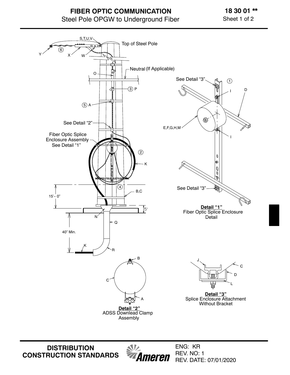## **FIBER OPTIC COMMUNICATION** Steel Pole OPGW to Underground Fiber

**18 30 01 \*\*** Sheet 1 of 2



**DISTRIBUTION CONSTRUCTION STANDARDS**  $\mathcal{N}$ Ameren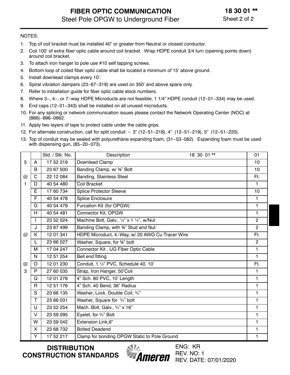- 1. Top of coil bracket must be installed 40" or greater from Neutral or closest conductor.
- 2. Coil 100' of extra fiber optic cable around coil bracket. Wrap HDPE conduit 3/4 turn (opening points down) around coil bracket.
- 3. To attach iron hanger to pole use #10 self tapping screws.
- 4. Bottom loop of coiled fiber optic cable shall be located a minimum of 15' above ground.
- 5. Install downlead clamps every 10'.
- 6. Spiral vibration dampers (23−67−319) are used on 350' and above spans only.
- 7. Refer to installation guide for fiber optic cable stock numbers.
- 8. Where 3−, 4−, or 7−way HDPE Microducts are not feasible, 1 1/4" HDPE conduit (12−01−334) may be used.
- 9. End caps (12-01-343) shall be installed on all unused microducts.
- 10. For any splicing or network communication issues please contact the Network Operating Center (NOC) at (866)−896−0662. 10. For any splicing or network communication issue:<br>(866)-896-0662.<br>11. Apply two layers of tape to protect cable under th<br>12. For alternate construction, call for split conduit -
- 11. Apply two layers of tape to protect cable under the cable grips.
- 12. For alternate construction, call for split conduit 3" (12-51-218), 4" (12-51-219), 5" (12-51-220).
- 13. Top of conduit may be sealed with polyurethane expanding foam, (31−53−082). Expanding foam must be used with dispensing gun, (85−20−073).

|                      |              | Std. / Stk. No. | Description                                      | 18 30 01 ** | 01             |
|----------------------|--------------|-----------------|--------------------------------------------------|-------------|----------------|
| 5                    | A            | 17 52 219       | Downlead Clamp                                   |             | 10             |
|                      | B            | 23 67 500       | Banding Clamp, w/ %" Bolt                        |             | 10             |
| $^{\copyright}$      | C            | 22 12 084       | Banding, Stainless Steel                         |             | Ft.            |
| 1                    | D            | 40 54 480       | <b>Coil Bracket</b>                              |             | 1              |
|                      | E            | 17 60 734       | <b>Splice Protector Sleeve</b>                   |             | 10             |
|                      | F            | 40 54 478       | <b>Splice Enclosure</b>                          |             | 1              |
|                      | G            | 40 54 479       | Furcation Kit (for OPGW)                         |             | 1              |
|                      | H            | 40 54 481       | Connector Kit, OPGW                              |             | 1              |
|                      | $\mathbf{I}$ | 23 52 024       | Machine Bolt, Galv., 1/2" x 1 1/4", w/Nut        |             | $\mathbf{2}$   |
|                      | J            | 23 67 499       | Banding Clamp, with <sup>5</sup> %" Stud and Nut |             | $\overline{2}$ |
| $^{\textregistered}$ | Κ            | 12 01 341       | HDPE Microduct, 4-Way, w/ 20 AWG Cu Tracer Wire  |             | Ft.            |
|                      | L            | 23 66 027       | Washer, Square, for %" bolt                      |             | $\overline{2}$ |
|                      | M            | 17 04 247       | Connector Kit, UG Fiber Optic Cable              |             | 1              |
|                      | N            | 12 51 254       | Bell end fitting                                 |             | 1              |
| @                    | $\circ$      | 12 01 230       | Conduit, 1 1/2" PVC, Schedule 40, 10'            |             | Ft.            |
| 3                    | P            | 27 60 035       | Strap, Iron Hanger, 50'Coil                      |             | $\mathbf{1}$   |
|                      | Q            | 12 01 278       | 4" Sch. 80 PVC, 10' Length                       |             | 1              |
|                      | R            | 12 51 176       | 4" Sch. 40 Bend, 36" Radius                      |             | 1              |
|                      | S            | 23 66 135       | Washer, Lock, Double Coil, 3/4"                  |             | 1              |
|                      | T            | 23 66 031       | Washer, Square for 3/4" bolt                     |             | 1              |
|                      | U            | 23 52 254       | Mach. Bolt, Galv., 3/4" x 16"                    |             | 1              |
|                      | $\vee$       | 23 59 095       | Eyelet, for 3/4" Bolt                            |             | 1              |
|                      | W            | 23 59 042       | <b>Extension Link,6"</b>                         |             | 1              |
|                      | X            | 23 68 732       | <b>Bolted Deadend</b>                            |             | 1              |
|                      | Y            | 17 52 217       | Clamp for bonding OPGW Static to Pole Ground     |             | 1              |

**DISTRIBUTION CONSTRUCTION STANDARDS**

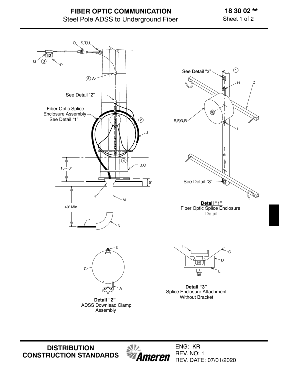# **FIBER OPTIC COMMUNICATION** Steel Pole ADSS to Underground Fiber

### **18 30 02 \*\*** Sheet 1 of 2



**DISTRIBUTION CONSTRUCTION STANDARDS**

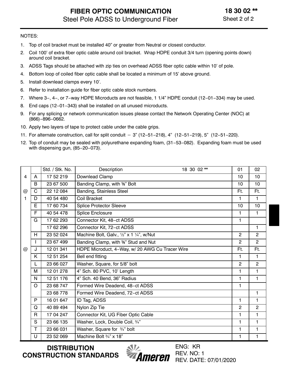- 1. Top of coil bracket must be installed 40" or greater from Neutral or closest conductor.
- 2. Coil 100' of extra fiber optic cable around coil bracket. Wrap HDPE conduit 3/4 turn (opening points down) around coil bracket.
- 3. ADSS Tags should be attached with zip ties on overhead ADSS fiber optic cable within 10' of pole.
- 4. Bottom loop of coiled fiber optic cable shall be located a minimum of 15' above ground.
- 5. Install downlead clamps every 10'.
- 6. Refer to installation guide for fiber optic cable stock numbers.
- 7. Where 3−, 4−, or 7−way HDPE Microducts are not feasible, 1 1/4" HDPE conduit (12−01−334) may be used.
- 8. End caps (12−01−343) shall be installed on all unused microducts.
- 9. For any splicing or network communication issues please contact the Network Operating Center (NOC) at (866)−896−0662. 11. For any splicing or network communication issue:<br>
11. Apply two layers of tape to protect cable under th<br>
11. For alternate construction, call for split conduit -
- 10. Apply two layers of tape to protect cable under the cable grips.
- 11. For alternate construction, call for split conduit 3" (12-51-218), 4" (12-51-219), 5" (12-51-220).
- 12. Top of conduit may be sealed with polyurethane expanding foam, (31−53−082). Expanding foam must be used with dispensing gun, (85−20−073).

|   |   | Std. / Stk. No. | 18 30 02 **<br>Description                       | 01             | 02             |
|---|---|-----------------|--------------------------------------------------|----------------|----------------|
| 4 | A | 17 52 219       | Downlead Clamp                                   | 10             | 10             |
|   | B | 23 67 500       | Banding Clamp, with %" Bolt                      | 10             | 10             |
| @ | C | 22 12 084       | Banding, Stainless Steel                         | Ft.            | Ft.            |
| 1 | D | 40 54 480       | Coil Bracket                                     | $\mathbf{1}$   | $\mathbf{1}$   |
|   | Е | 17 60 734       | <b>Splice Protector Sleeve</b>                   | 10             | 10             |
|   | F | 40 54 478       | Splice Enclosure                                 | $\mathbf{1}$   | $\mathbf{1}$   |
|   | G | 17 62 293       | Connector Kit, 48-ct ADSS                        | 1              |                |
|   |   | 17 62 296       | Connector Kit, 72-ct ADSS                        |                | $\mathbf{1}$   |
|   | H | 23 52 024       | Machine Bolt, Galv., 1/2" x 1 1/4", w/Nut        | $\overline{2}$ | $\overline{2}$ |
|   |   | 23 67 499       | Banding Clamp, with <sup>5</sup> %" Stud and Nut | $\overline{2}$ | $\overline{2}$ |
| @ | J | 12 01 341       | HDPE Microduct, 4-Way, w/ 20 AWG Cu Tracer Wire  | Ft.            | Ft.            |
|   | Κ | 12 51 254       | Bell end fitting                                 | $\mathbf{1}$   | $\mathbf{1}$   |
|   | L | 23 66 027       | Washer, Square, for 5/8" bolt                    | $\overline{2}$ | $\overline{c}$ |
|   | M | 12 01 278       | 4" Sch. 80 PVC, 10' Length                       | $\mathbf{1}$   | $\mathbf{1}$   |
|   | N | 12 51 176       | 4" Sch. 40 Bend, 36" Radius                      | 1              | $\mathbf{1}$   |
|   | O | 23 68 747       | Formed Wire Deadend, 48-ct ADSS                  | $\mathbf{1}$   |                |
|   |   | 23 68 778       | Formed Wire Deadend, 72-ct ADSS                  |                | 1              |
|   | P | 16 01 647       | ID Tag, ADSS                                     | $\mathbf{1}$   | 1              |
|   | Q | 40 89 494       | Nylon Zip Tie                                    | $\overline{2}$ | $\overline{2}$ |
|   | R | 17 04 247       | Connector Kit, UG Fiber Optic Cable              | $\mathbf{1}$   | $\mathbf{1}$   |
|   | S | 23 66 135       | Washer, Lock, Double Coil, 3/4"                  | 1              | $\mathbf{1}$   |
|   | T | 23 66 031       | Washer, Square for 3/4" bolt                     | $\mathbf{1}$   | $\mathbf{1}$   |
|   | U | 23 52 069       | Machine Bolt 3/4" x 18"                          | 1              | $\mathbf{1}$   |

**DISTRIBUTION CONSTRUCTION STANDARDS**

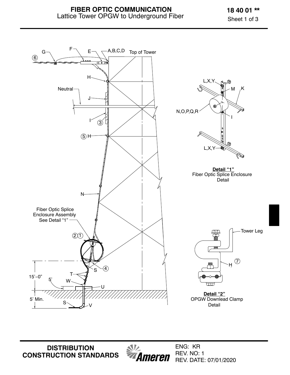**18 40 01 \*\*** Sheet 1 of 3



**DISTRIBUTION CONSTRUCTION STANDARDS** *MA*<br>*Ameren*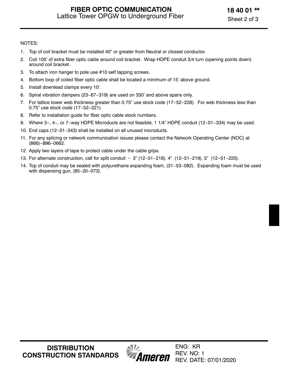- 1. Top of coil bracket must be installed 40" or greater from Neutral or closest conductor.
- 2. Coil 100' of extra fiber optic cable around coil bracket. Wrap HDPE conduit 3/4 turn (opening points down) around coil bracket.
- 3. To attach iron hanger to pole use #10 self tapping screws.
- 4. Bottom loop of coiled fiber optic cable shall be located a minimum of 15' above ground.
- 5. Install downlead clamps every 10'.
- 6. Spiral vibration dampers (23−67−319) are used on 350' and above spans only.
- 7. For lattice tower web thickness greater than 0.75" use stock code (17−52−228). For web thickness less than 0.75" use stock code (17−52−221).
- 8. Refer to installation guide for fiber optic cable stock numbers.
- 9. Where 3−, 4−, or 7−way HDPE Microducts are not feasible, 1 1/4" HDPE conduit (12−01−334) may be used.
- 10. End caps (12−01−343) shall be installed on all unused microducts.
- 11. For any splicing or network communication issues please contact the Network Operating Center (NOC) at (866)–896–0662.<br>12. Apply two layers of tape to protect cable under the cable grips.<br>13. For alternate construction, (866)−896−0662.
- 12. Apply two layers of tape to protect cable under the cable grips.
- 13. For alternate construction, call for split conduit 3" (12-51-218), 4" (12-51-219), 5" (12-51-220).
- 14. Top of conduit may be sealed with polyurethane expanding foam, (31−53−082). Expanding foam must be used with dispensing gun, (85−20−073).

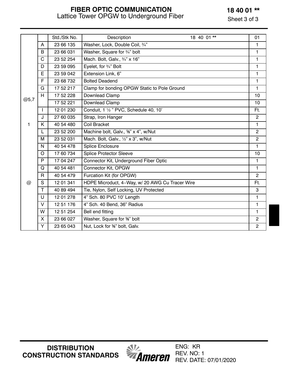### **18 40 01 \*\***

Sheet 3 of 3

### **FIBER OPTIC COMMUNICATION** Lattice Tower OPGW to Underground Fiber

|      |              | Std./Stk No. | Description                                                    | 18 40 01 ** | 01             |
|------|--------------|--------------|----------------------------------------------------------------|-------------|----------------|
|      | A            | 23 66 135    | Washer, Lock, Double Coil, 3/4"                                |             | 1              |
|      | B            | 23 66 031    | Washer, Square for 3/4" bolt                                   |             | 1              |
|      | $\mathbf C$  | 23 52 254    | Mach. Bolt, Galv., 3/4" x 16"                                  |             | 1              |
|      | D            | 23 59 095    | Eyelet, for 3/4" Bolt                                          |             | 1              |
|      | E            | 23 59 042    | Extension Link, 6"                                             |             | 1              |
|      | F            | 23 68 732    | <b>Bolted Deadend</b>                                          |             | $\mathbf{1}$   |
|      | G            | 17 52 217    | Clamp for bonding OPGW Static to Pole Ground                   |             | 1              |
|      | H            | 17 52 228    | Downlead Clamp                                                 |             | 10             |
| @5,7 |              | 17 52 221    | Downlead Clamp                                                 |             | 10             |
|      | T            | 12 01 230    | Conduit, 1 1/2 " PVC, Schedule 40, 10'                         |             | Ft.            |
|      | J            | 27 60 035    | Strap, Iron Hanger                                             |             | $\overline{2}$ |
| 1    | K            | 40 54 480    | <b>Coil Bracket</b>                                            |             | $\mathbf{1}$   |
|      | L            | 23 52 200    | Machine bolt, Galv., <sup>5</sup> / <sub>8</sub> " x 4", w/Nut |             | $\overline{2}$ |
|      | M            | 23 52 031    | Mach. Bolt, Galv., 1/2" x 3", w/Nut                            |             | $\overline{2}$ |
|      | $\mathsf{N}$ | 40 54 478    | <b>Splice Enclosure</b>                                        |             | $\mathbf{1}$   |
|      | $\circ$      | 17 60 734    | <b>Splice Protector Sleeve</b>                                 |             | 10             |
|      | $\mathsf{P}$ | 17 04 247    | Connector Kit, Underground Fiber Optic                         |             | $\mathbf{1}$   |
|      | Q            | 40 54 481    | Connector Kit, OPGW                                            |             | $\mathbf{1}$   |
|      | $\mathsf{R}$ | 40 54 479    | Furcation Kit (for OPGW)                                       |             | $\overline{2}$ |
| @    | S            | 12 01 341    | HDPE Microduct, 4-Way, w/ 20 AWG Cu Tracer Wire                |             | Ft.            |
|      | $\mathsf{T}$ | 40 89 494    | Tie, Nylon, Self Locking, UV Protected                         |             | 3              |
|      | U            | 12 01 278    | 4" Sch. 80 PVC 10' Length                                      |             | $\mathbf{1}$   |
|      | V            | 12 51 176    | 4" Sch. 40 Bend, 36" Radius                                    |             | 1              |
|      | W            | 12 51 254    | Bell end fitting                                               |             | $\mathbf{1}$   |
|      | X            | 23 66 027    | Washer, Square for %" bolt                                     |             | $\overline{c}$ |
|      | Y            | 23 65 043    | Nut, Lock for %" bolt, Galv.                                   |             | $\overline{2}$ |

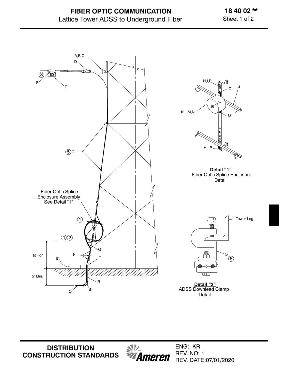**18 40 02 \*\*** Sheet 1 of 2



**DISTRIBUTION CONSTRUCTION STANDARDS** *<u><i>MI*</u><br>**Ameren**